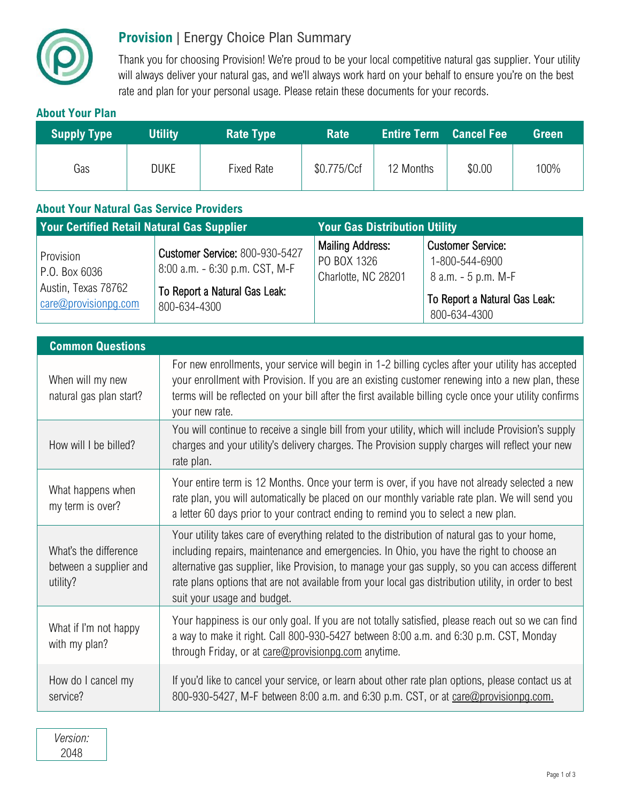

## **Provision** | Energy Choice Plan Summary

Thank you for choosing Provision! We're proud to be your local competitive natural gas supplier. Your utility will always deliver your natural gas, and we'll always work hard on your behalf to ensure you're on the best rate and plan for your personal usage. Please retain these documents for your records.

## **About Your Plan**

| <b>Supply Type</b> | <b>Utility</b> | <b>Rate Type</b> | <b>Rate</b> | <b>Entire Term Cancel Fee</b> |        | <b>Green</b> |
|--------------------|----------------|------------------|-------------|-------------------------------|--------|--------------|
| Gas                | <b>DUKE</b>    | Fixed Rate       | \$0.775/Ccf | 12 Months                     | \$0.00 | 100%         |

## **About Your Natural Gas Service Providers**

| <b>Your Certified Retail Natural Gas Supplier</b>                                  |                                                                                                                          | <b>Your Gas Distribution Utility</b>                          |                                                                                                                    |  |
|------------------------------------------------------------------------------------|--------------------------------------------------------------------------------------------------------------------------|---------------------------------------------------------------|--------------------------------------------------------------------------------------------------------------------|--|
| Provision<br>P.O. Box 6036<br>Austin, Texas 78762<br>$\alpha$ care@provisionpg.com | <b>Customer Service: 800-930-5427</b><br>8:00 a.m. - 6:30 p.m. CST, M-F<br>To Report a Natural Gas Leak:<br>800-634-4300 | <b>Mailing Address:</b><br>PO BOX 1326<br>Charlotte, NC 28201 | <b>Customer Service:</b><br>1-800-544-6900<br>8 a.m. - 5 p.m. M-F<br>To Report a Natural Gas Leak:<br>800-634-4300 |  |

| <b>Common Questions</b>                                     |                                                                                                                                                                                                                                                                                                                                                                                                                                       |  |  |  |
|-------------------------------------------------------------|---------------------------------------------------------------------------------------------------------------------------------------------------------------------------------------------------------------------------------------------------------------------------------------------------------------------------------------------------------------------------------------------------------------------------------------|--|--|--|
| When will my new<br>natural gas plan start?                 | For new enrollments, your service will begin in 1-2 billing cycles after your utility has accepted<br>your enrollment with Provision. If you are an existing customer renewing into a new plan, these<br>terms will be reflected on your bill after the first available billing cycle once your utility confirms<br>your new rate.                                                                                                    |  |  |  |
| How will I be billed?                                       | You will continue to receive a single bill from your utility, which will include Provision's supply<br>charges and your utility's delivery charges. The Provision supply charges will reflect your new<br>rate plan.                                                                                                                                                                                                                  |  |  |  |
| What happens when<br>my term is over?                       | Your entire term is 12 Months. Once your term is over, if you have not already selected a new<br>rate plan, you will automatically be placed on our monthly variable rate plan. We will send you<br>a letter 60 days prior to your contract ending to remind you to select a new plan.                                                                                                                                                |  |  |  |
| What's the difference<br>between a supplier and<br>utility? | Your utility takes care of everything related to the distribution of natural gas to your home,<br>including repairs, maintenance and emergencies. In Ohio, you have the right to choose an<br>alternative gas supplier, like Provision, to manage your gas supply, so you can access different<br>rate plans options that are not available from your local gas distribution utility, in order to best<br>suit your usage and budget. |  |  |  |
| What if I'm not happy<br>with my plan?                      | Your happiness is our only goal. If you are not totally satisfied, please reach out so we can find<br>a way to make it right. Call 800-930-5427 between 8:00 a.m. and 6:30 p.m. CST, Monday<br>through Friday, or at care@provisionpg.com anytime.                                                                                                                                                                                    |  |  |  |
| How do I cancel my<br>service?                              | If you'd like to cancel your service, or learn about other rate plan options, please contact us at<br>800-930-5427, M-F between 8:00 a.m. and 6:30 p.m. CST, or at care@provisionpg.com.                                                                                                                                                                                                                                              |  |  |  |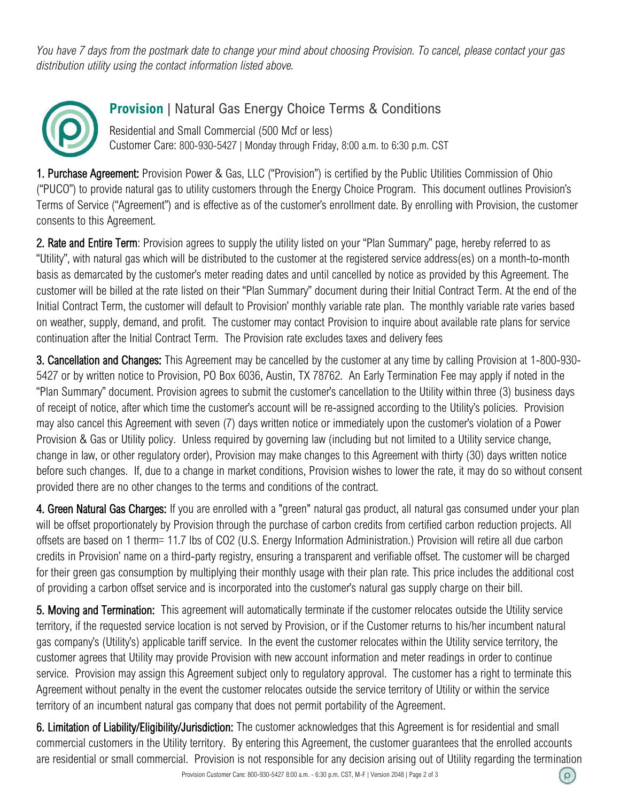*You have 7 days from the postmark date to change your mind about choosing Provision. To cancel, please contact your gas distribution utility using the contact information listed above.* 



## **Provision** | Natural Gas Energy Choice Terms & Conditions

Residential and Small Commercial (500 Mcf or less) Customer Care: 800-930-5427 | Monday through Friday, 8:00 a.m. to 6:30 p.m. CST

1. Purchase Agreement: Provision Power & Gas, LLC ("Provision") is certified by the Public Utilities Commission of Ohio ("PUCO") to provide natural gas to utility customers through the Energy Choice Program. This document outlines Provision's Terms of Service ("Agreement") and is effective as of the customer's enrollment date. By enrolling with Provision, the customer consents to this Agreement.

2. Rate and Entire Term: Provision agrees to supply the utility listed on your "Plan Summary" page, hereby referred to as "Utility", with natural gas which will be distributed to the customer at the registered service address(es) on a month-to-month basis as demarcated by the customer's meter reading dates and until cancelled by notice as provided by this Agreement. The customer will be billed at the rate listed on their "Plan Summary" document during their Initial Contract Term. At the end of the Initial Contract Term, the customer will default to Provision' monthly variable rate plan. The monthly variable rate varies based on weather, supply, demand, and profit. The customer may contact Provision to inquire about available rate plans for service continuation after the Initial Contract Term. The Provision rate excludes taxes and delivery fees

3. Cancellation and Changes: This Agreement may be cancelled by the customer at any time by calling Provision at 1-800-930- 5427 or by written notice to Provision, PO Box 6036, Austin, TX 78762. An Early Termination Fee may apply if noted in the "Plan Summary" document. Provision agrees to submit the customer's cancellation to the Utility within three (3) business days of receipt of notice, after which time the customer's account will be re-assigned according to the Utility's policies. Provision may also cancel this Agreement with seven (7) days written notice or immediately upon the customer's violation of a Power Provision & Gas or Utility policy. Unless required by governing law (including but not limited to a Utility service change, change in law, or other regulatory order), Provision may make changes to this Agreement with thirty (30) days written notice before such changes. If, due to a change in market conditions, Provision wishes to lower the rate, it may do so without consent provided there are no other changes to the terms and conditions of the contract.

4. Green Natural Gas Charges: If you are enrolled with a "green" natural gas product, all natural gas consumed under your plan will be offset proportionately by Provision through the purchase of carbon credits from certified carbon reduction projects. All offsets are based on 1 therm= 11.7 lbs of CO2 (U.S. Energy Information Administration.) Provision will retire all due carbon credits in Provision' name on a third-party registry, ensuring a transparent and verifiable offset. The customer will be charged for their green gas consumption by multiplying their monthly usage with their plan rate. This price includes the additional cost of providing a carbon offset service and is incorporated into the customer's natural gas supply charge on their bill.

5. Moving and Termination: This agreement will automatically terminate if the customer relocates outside the Utility service territory, if the requested service location is not served by Provision, or if the Customer returns to his/her incumbent natural gas company's (Utility's) applicable tariff service. In the event the customer relocates within the Utility service territory, the customer agrees that Utility may provide Provision with new account information and meter readings in order to continue service. Provision may assign this Agreement subject only to regulatory approval. The customer has a right to terminate this Agreement without penalty in the event the customer relocates outside the service territory of Utility or within the service territory of an incumbent natural gas company that does not permit portability of the Agreement.

6. Limitation of Liability/Eligibility/Jurisdiction: The customer acknowledges that this Agreement is for residential and small commercial customers in the Utility territory. By entering this Agreement, the customer guarantees that the enrolled accounts are residential or small commercial. Provision is not responsible for any decision arising out of Utility regarding the termination

(၉)